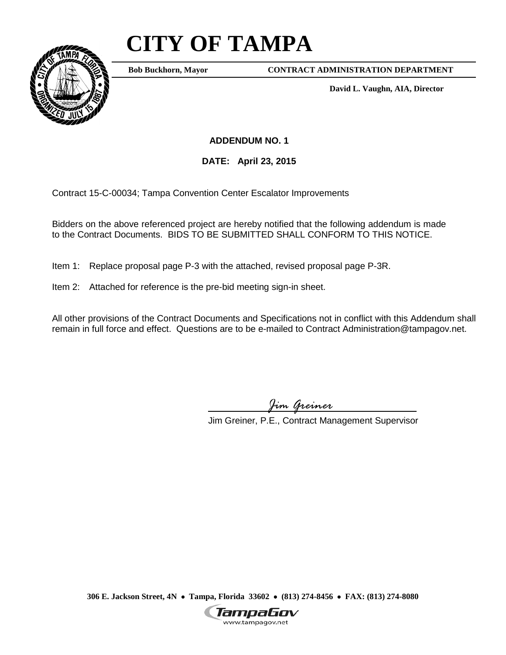## **CITY OF TAMPA**



**Bob Buckhorn, Mayor**

**CONTRACT ADMINISTRATION DEPARTMENT**

**David L. Vaughn, AIA, Director**

**ADDENDUM NO. 1**

**DATE: April 23, 2015**

Contract 15-C-00034; Tampa Convention Center Escalator Improvements

Bidders on the above referenced project are hereby notified that the following addendum is made to the Contract Documents. BIDS TO BE SUBMITTED SHALL CONFORM TO THIS NOTICE.

- Item 1: Replace proposal page P-3 with the attached, revised proposal page P-3R.
- Item 2: Attached for reference is the pre-bid meeting sign-in sheet.

All other provisions of the Contract Documents and Specifications not in conflict with this Addendum shall remain in full force and effect. Questions are to be e-mailed to Contract Administration@tampagov.net.

*Jim Greiner*

Jim Greiner, P.E., Contract Management Supervisor

**306 E. Jackson Street, 4N** • **Tampa, Florida 33602** • **(813) 274-8456** • **FAX: (813) 274-8080**

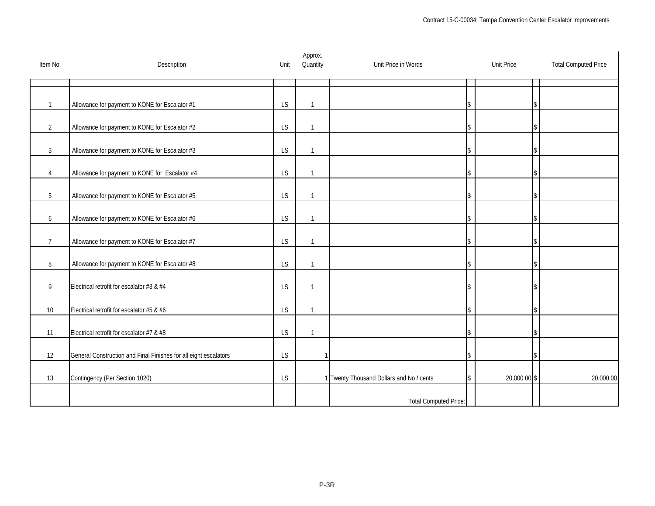| Item No.       | Description                                                      | Unit      | Approx.<br>Quantity | Unit Price in Words                      | <b>Unit Price</b>  | <b>Total Computed Price</b> |
|----------------|------------------------------------------------------------------|-----------|---------------------|------------------------------------------|--------------------|-----------------------------|
|                |                                                                  |           |                     |                                          |                    |                             |
| $\mathbf{1}$   | Allowance for payment to KONE for Escalator #1                   | <b>LS</b> | $\mathbf{1}$        |                                          | \$                 |                             |
| $\overline{2}$ | Allowance for payment to KONE for Escalator #2                   | <b>LS</b> | $\mathbf{1}$        |                                          | \$                 |                             |
| $\mathfrak{Z}$ | Allowance for payment to KONE for Escalator #3                   | LS        | $\mathbf{1}$        |                                          | \$                 |                             |
| 4              | Allowance for payment to KONE for Escalator #4                   | LS        | $\overline{1}$      |                                          | \$                 |                             |
|                |                                                                  |           |                     |                                          |                    |                             |
| 5              | Allowance for payment to KONE for Escalator #5                   | LS        | $\overline{1}$      |                                          | \$                 |                             |
| 6              | Allowance for payment to KONE for Escalator #6                   | <b>LS</b> | $\mathbf{1}$        |                                          | \$                 |                             |
| $\overline{7}$ | Allowance for payment to KONE for Escalator #7                   | <b>LS</b> | $\mathbf{1}$        |                                          | \$                 |                             |
| 8              | Allowance for payment to KONE for Escalator #8                   | <b>LS</b> | $\mathbf{1}$        |                                          | \$                 |                             |
| 9              | Electrical retrofit for escalator #3 & #4                        | <b>LS</b> | $\mathbf{1}$        |                                          | \$                 |                             |
| 10             | Electrical retrofit for escalator #5 & #6                        | LS        | $\overline{1}$      |                                          | \$                 |                             |
| 11             | Electrical retrofit for escalator #7 & #8                        | LS        | $\mathbf{1}$        |                                          | \$                 |                             |
|                |                                                                  |           |                     |                                          |                    |                             |
| 12             | General Construction and Final Finishes for all eight escalators | <b>LS</b> |                     |                                          | \$                 |                             |
| 13             | Contingency (Per Section 1020)                                   | LS        |                     | 1 Twenty Thousand Dollars and No / cents | 20,000.00 \$<br>\$ | 20,000.00                   |
|                |                                                                  |           |                     | <b>Total Computed Price:</b>             |                    |                             |